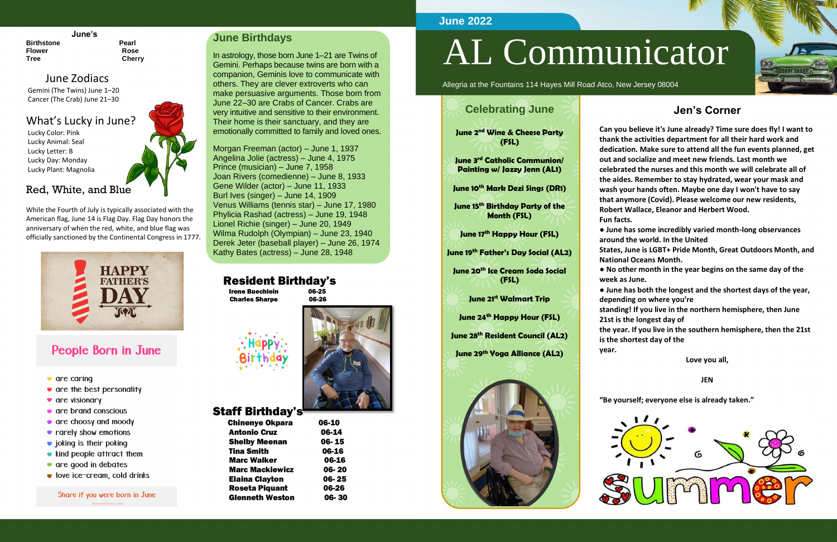#### **June's**

**Birthstone** Pearl **Flower Rose Tree Cherry**

### June Zodiacs

Gemini (The Twins) June 1–20 Cancer (The Crab) June 21–30

### What's Lucky in June?

Lucky Color: Pink Lucky Animal: Seal Lucky Letter: B Lucky Day: Monday Lucky Plant: Magnolia

### Red, White, and Blue

While the Fourth of July is typically associated with the American flag, June 14 is Flag Day. Flag Day honors the anniversary of when the red, white, and blue flag was officially sanctioned by the Continental Congress in 1777.



# **People Born in June**

- $\bullet$  are caring
- $\bullet$  are the best personality
- are visionary
- $\bullet$  are brand conscious
- $\bullet$  are choosy and moody
- rarely show emotions
- $\bullet$  joking is their poking
- $\bullet$  kind people attract them
- $\bullet$  are good in debates
- $\bullet$  love ice-cream, cold drinks

# Share if you were born in June

### **June Birthdays**

In astrology, those born June 1–21 are Twins of Gemini. Perhaps because twins are born with a companion, Geminis love to communicate with others. They are clever extroverts who can make persuasive arguments. Those born from June 22–30 are Crabs of Cancer. Crabs are very intuitive and sensitive to their environment. Their home is their sanctuary, and they are emotionally committed to family and loved ones.

Morgan Freeman (actor) – June 1, 1937 Angelina Jolie (actress) – June 4, 1975 Prince (musician) – June 7, 1958 Joan Rivers (comedienne) – June 8, 1933 Gene Wilder (actor) – June 11, 1933 Burl Ives (singer) – June 14, 1909 Venus Williams (tennis star) – June 17, 1980 Phylicia Rashad (actress) – June 19, 1948 Lionel Richie (singer) – June 20, 1949 Wilma Rudolph (Olympian) – June 23, 1940 Derek Jeter (baseball player) – June 26, 1974 Kathy Bates (actress) – June 28, 1948

### Resident Birthday's

 Irene Buechlein 06-25 Charles Sharpe 06-26



# Staff Birthday's

| 06-14 |
|-------|
|       |
| 06-15 |
| 06-16 |
| 06-16 |
| 06-20 |
| 06-25 |
| 06-26 |
| 06-30 |
|       |

# AL Communicator

Allegria at the Fountains 114 Hayes Mill Road Atco, New Jersey 08004

### **Jen's Corner**

**Can you believe it's June already? Time sure does fly! I want to thank the activities department for all their hard work and dedication. Make sure to attend all the fun events planned, get out and socialize and meet new friends. Last month we celebrated the nurses and this month we will celebrate all of the aides. Remember to stay hydrated, wear your mask and wash your hands often. Maybe one day I won't have to say that anymore (Covid). Please welcome our new residents, Robert Wallace, Eleanor and Herbert Wood.**

**● June has some incredibly varied month-long observances around the world. In the United**

**States, June is LGBT+ Pride Month, Great Outdoors Month, and National Oceans Month.**

**● No other month in the year begins on the same day of the week as June.**

**Fun facts. year.**







**● June has both the longest and the shortest days of the year, depending on where you're**

**standing! If you live in the northern hemisphere, then June 21st is the longest day of**

**the year. If you live in the southern hemisphere, then the 21st is the shortest day of the**

**Love you all,**

**JEN**

**"Be yourself; everyone else is already taken."**



### **June 2022**

# **Celebrating June**

**June 2nd Wine & Cheese Party (FSL)**

**June 3rd Catholic Communion/ Painting w/ Jazzy Jenn (AL1)**

**June 10th Mark Dezi Sings (DR1)**

**June 15th Birthday Party of the Month (FSL)**

**June 17th Happy Hour (FSL)**

**June 19th Father's Day Social (AL2)**

**June 20th Ice Cream Soda Social (FSL)**

**June 21st Walmart Trip**

**June 24th Happy Hour (FSL)**

**June 28th Resident Council (AL2)**

**June 29th Yoga Alliance (AL2)**